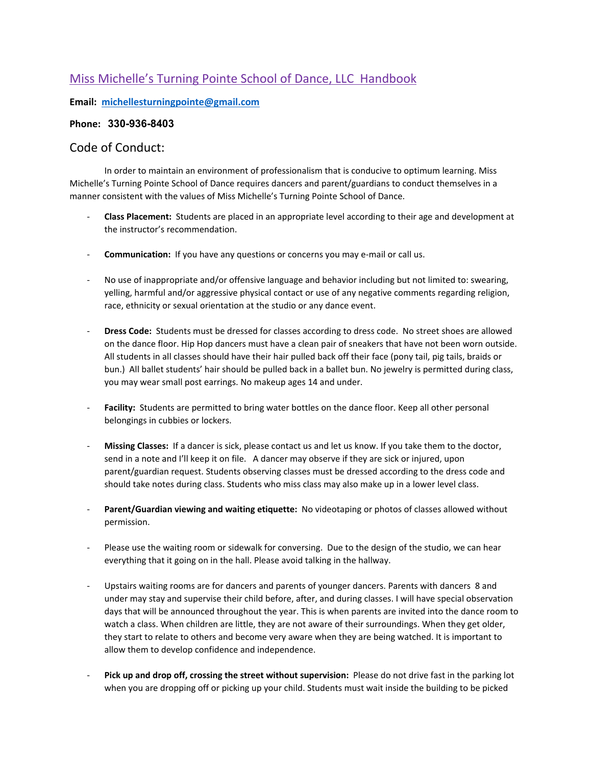# Miss Michelle's Turning Pointe School of Dance, LLC Handbook

**Email: michellesturningpointe@gmail.com**

## **Phone: 330-936-8403**

#### Code of Conduct:

In order to maintain an environment of professionalism that is conducive to optimum learning. Miss Michelle's Turning Pointe School of Dance requires dancers and parent/guardians to conduct themselves in a manner consistent with the values of Miss Michelle's Turning Pointe School of Dance.

- **Class Placement:** Students are placed in an appropriate level according to their age and development at the instructor's recommendation.
- **Communication:** If you have any questions or concerns you may e-mail or call us.
- No use of inappropriate and/or offensive language and behavior including but not limited to: swearing, yelling, harmful and/or aggressive physical contact or use of any negative comments regarding religion, race, ethnicity or sexual orientation at the studio or any dance event.
- **Dress Code:** Students must be dressed for classes according to dress code. No street shoes are allowed on the dance floor. Hip Hop dancers must have a clean pair of sneakers that have not been worn outside. All students in all classes should have their hair pulled back off their face (pony tail, pig tails, braids or bun.) All ballet students' hair should be pulled back in a ballet bun. No jewelry is permitted during class, you may wear small post earrings. No makeup ages 14 and under.
- Facility: Students are permitted to bring water bottles on the dance floor. Keep all other personal belongings in cubbies or lockers.
- **Missing Classes:** If a dancer is sick, please contact us and let us know. If you take them to the doctor, send in a note and I'll keep it on file. A dancer may observe if they are sick or injured, upon parent/guardian request. Students observing classes must be dressed according to the dress code and should take notes during class. Students who miss class may also make up in a lower level class.
- **Parent/Guardian viewing and waiting etiquette:** No videotaping or photos of classes allowed without permission.
- Please use the waiting room or sidewalk for conversing. Due to the design of the studio, we can hear everything that it going on in the hall. Please avoid talking in the hallway.
- Upstairs waiting rooms are for dancers and parents of younger dancers. Parents with dancers 8 and under may stay and supervise their child before, after, and during classes. I will have special observation days that will be announced throughout the year. This is when parents are invited into the dance room to watch a class. When children are little, they are not aware of their surroundings. When they get older, they start to relate to others and become very aware when they are being watched. It is important to allow them to develop confidence and independence.
- Pick up and drop off, crossing the street without supervision: Please do not drive fast in the parking lot when you are dropping off or picking up your child. Students must wait inside the building to be picked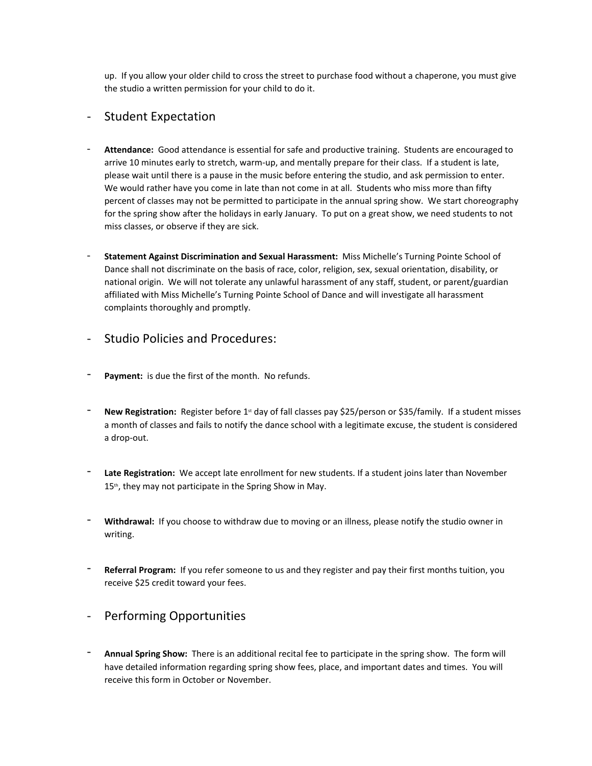up. If you allow your older child to cross the street to purchase food without a chaperone, you must give the studio a written permission for your child to do it.

## - Student Expectation

- **Attendance:** Good attendance is essential for safe and productive training. Students are encouraged to arrive 10 minutes early to stretch, warm-up, and mentally prepare for their class. If a student is late, please wait until there is a pause in the music before entering the studio, and ask permission to enter. We would rather have you come in late than not come in at all. Students who miss more than fifty percent of classes may not be permitted to participate in the annual spring show. We start choreography for the spring show after the holidays in early January. To put on a great show, we need students to not miss classes, or observe if they are sick.
- **Statement Against Discrimination and Sexual Harassment:** Miss Michelle's Turning Pointe School of Dance shall not discriminate on the basis of race, color, religion, sex, sexual orientation, disability, or national origin. We will not tolerate any unlawful harassment of any staff, student, or parent/guardian affiliated with Miss Michelle's Turning Pointe School of Dance and will investigate all harassment complaints thoroughly and promptly.
- Studio Policies and Procedures:
- Payment: is due the first of the month. No refunds.
- New Registration: Register before 1<sup>st</sup> day of fall classes pay \$25/person or \$35/family. If a student misses a month of classes and fails to notify the dance school with a legitimate excuse, the student is considered a drop-out.
- Late Registration: We accept late enrollment for new students. If a student joins later than November 15<sup>th</sup>, they may not participate in the Spring Show in May.
- Withdrawal: If you choose to withdraw due to moving or an illness, please notify the studio owner in writing.
- Referral Program: If you refer someone to us and they register and pay their first months tuition, you receive \$25 credit toward your fees.

## Performing Opportunities

- **Annual Spring Show:** There is an additional recital fee to participate in the spring show. The form will have detailed information regarding spring show fees, place, and important dates and times. You will receive this form in October or November.